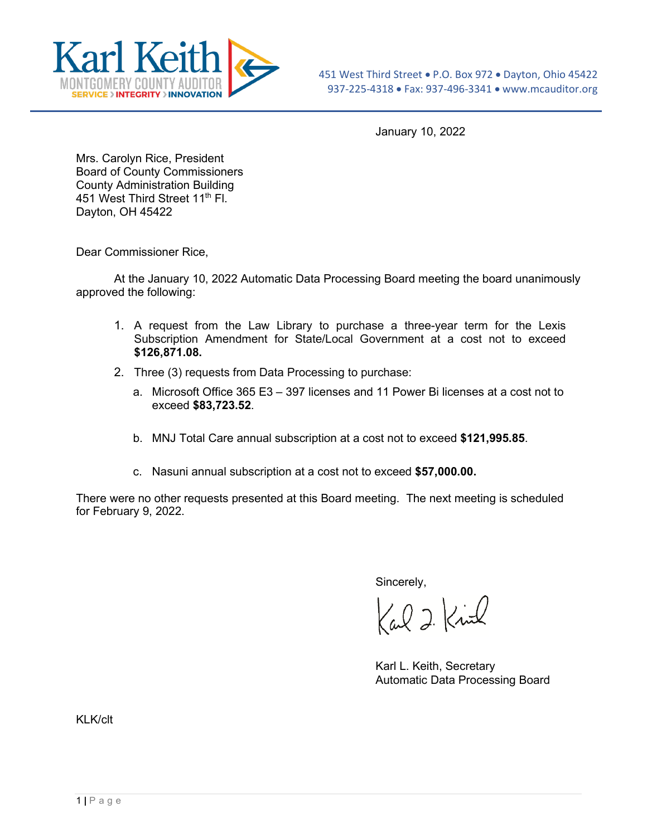

January 10, 2022

Mrs. Carolyn Rice, President Board of County Commissioners County Administration Building 451 West Third Street 11<sup>th</sup> Fl. Dayton, OH 45422

Dear Commissioner Rice,

At the January 10, 2022 Automatic Data Processing Board meeting the board unanimously approved the following:

- 1. A request from the Law Library to purchase a three-year term for the Lexis Subscription Amendment for State/Local Government at a cost not to exceed **\$126,871.08.**
- 2. Three (3) requests from Data Processing to purchase:
	- a. Microsoft Office 365 E3 397 licenses and 11 Power Bi licenses at a cost not to exceed **\$83,723.52**.
	- b. MNJ Total Care annual subscription at a cost not to exceed **\$121,995.85**.
	- c. Nasuni annual subscription at a cost not to exceed **\$57,000.00.**

There were no other requests presented at this Board meeting. The next meeting is scheduled for February 9, 2022.

Sincerely,

Carl 2 Kind

Karl L. Keith, Secretary Automatic Data Processing Board

KI K/clt